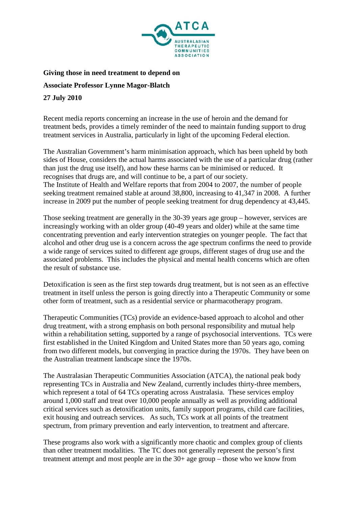

**Giving those in need treatment to depend on**

**Associate Professor Lynne Magor-Blatch**

**27 July 2010**

Recent media reports concerning an increase in the use of heroin and the demand for treatment beds, provides a timely reminder of the need to maintain funding support to drug treatment services in Australia, particularly in light of the upcoming Federal election.

The Australian Government's harm minimisation approach, which has been upheld by both sides of House, considers the actual harms associated with the use of a particular drug (rather than just the drug use itself), and how these harms can be minimised or reduced. It recognises that drugs are, and will continue to be, a part of our society. The Institute of Health and Welfare reports that from 2004 to 2007, the number of people seeking treatment remained stable at around 38,800, increasing to 41,347 in 2008. A further increase in 2009 put the number of people seeking treatment for drug dependency at 43,445.

Those seeking treatment are generally in the 30-39 years age group – however, services are increasingly working with an older group (40-49 years and older) while at the same time concentrating prevention and early intervention strategies on younger people. The fact that alcohol and other drug use is a concern across the age spectrum confirms the need to provide a wide range of services suited to different age groups, different stages of drug use and the associated problems. This includes the physical and mental health concerns which are often the result of substance use.

Detoxification is seen as the first step towards drug treatment, but is not seen as an effective treatment in itself unless the person is going directly into a Therapeutic Community or some other form of treatment, such as a residential service or pharmacotherapy program.

Therapeutic Communities (TCs) provide an evidence-based approach to alcohol and other drug treatment, with a strong emphasis on both personal responsibility and mutual help within a rehabilitation setting, supported by a range of psychosocial interventions. TCs were first established in the United Kingdom and United States more than 50 years ago, coming from two different models, but converging in practice during the 1970s. They have been on the Australian treatment landscape since the 1970s.

The Australasian Therapeutic Communities Association (ATCA), the national peak body representing TCs in Australia and New Zealand, currently includes thirty-three members, which represent a total of 64 TCs operating across Australasia. These services employ around 1,000 staff and treat over 10,000 people annually as well as providing additional critical services such as detoxification units, family support programs, child care facilities, exit housing and outreach services. As such, TCs work at all points of the treatment spectrum, from primary prevention and early intervention, to treatment and aftercare.

These programs also work with a significantly more chaotic and complex group of clients than other treatment modalities. The TC does not generally represent the person's first treatment attempt and most people are in the 30+ age group – those who we know from